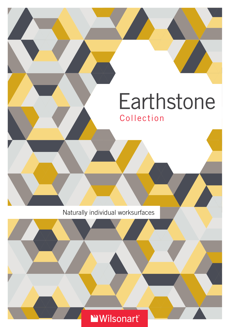# Collection **Earthstone**

Naturally individual worksurfaces

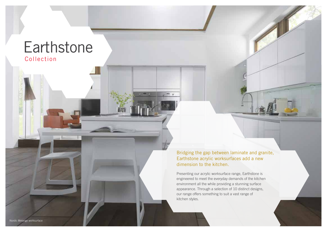# Collection **Earthstone**

Bridging the gap between laminate and granite, Earthstone acrylic worksurfaces add a new dimension to the kitchen.

 $= 0$ 

Presenting our acrylic worksurface range, Earthstone is engineered to meet the everyday demands of the kitchen environment all the while providing a stunning surface appearance. Through a selection of 10 distinct designs, our range offers something to suit a vast range of kitchen styles.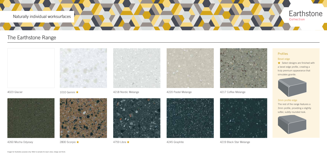4218 Nordic Melange



4260 Mocha Odyssey 2800 Scorpio ★ 4759 Libra ★ 4759 Libra ★ 4245 Graphite 4245 Graphite 4219 Black Star Melange



2800 Scorpio ★



4759 Libra ★





4245 Graphite





4023 Glacier

1010 Gemini

 $\bigstar$  Select designs are finished with a bevel edge profile, creating a truly premium appearance that simulates granite.



The rest of the range features a 3mm profile, providing a slightly softer, subtly rounded look.



### Profiles

### Bevel edge

### 3mm profile edge

# The Earthstone Range

# **Earthstone**



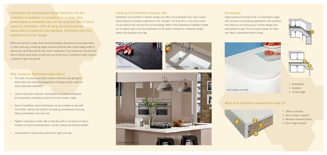Earthstone can provide great design flexibility; the full collection is available in a combination of sizes, from worksurfaces to breakfast bars, all are supplied semi-finished, ready for installation. With an array of complementary worksurface accessories also available, Earthstone can truly transform a kitchen design.

Within the dynamic range, three exclusive designs showcase the next generation in solid surfacing; combining larger coloured particles with a bevel edge profile to deliver eye catching surfaces that make a statement. The surface has the look and feel of natural stone that's smooth and cool to the touch; Earthstone really could be mistaken for genuine granite.

### Why choose an Earthstone worksurface?

- The solid, inconspicuous joints create a seamless look giving the worksurface the distinctive appearance of being custom made for every individual installation.
- Unlike most other materials, Earthstone is completely renewable and repairable, providing a surface that looks newer, longer.
- Ease of installation means Earthstone can be installed on-site with the kitchen, without the need for templating, dramatically reducing fitting complexities, time and cost.
- Hygienic and easy to clean with a naturally built in non-porous surface, resistant to most household stains, mould, mildew and bacteria growth.
- Comparable to natural stone without the high price tag.

Earthstone can transform a kitchen design and offer a truly bespoke look, from curved island pieces to moulded undermount sink modules. The best bit is, it can all be done on-site without the cost and time of templating. Refer to the Earthstone installation leaflet for full details and to see why Earthstone is the perfect solution for a bespoke design, without the bespoke price tag.

### **Accessories**

### Creating the Earthstone bespoke look







Highly practical and easy to fit, our Earthstone range also includes co-ordinating splashbacks and upstands that allow you to continue your chosen design from worksurface to wall. The end result speaks for itself and offers a great alternative to tiling.

- **1** Splashback
- **2** Upstand
- **3** Curved edge







### What is an Earthstone worksurface made of?

- **1** 28mm substrate
- **2** 6mm surface material
- **3** Moisture resistant barrier
- **4** 6mm edge material

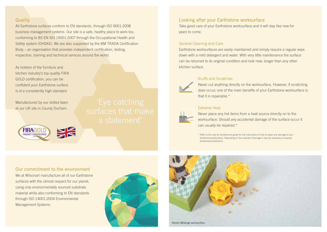### **Quality**

All Earthstone surfaces conform to EN standards, through ISO 9001:2008 business management systems. Our site is a safe, healthy place to work too, conforming to BS EN ISO 19001:2007 through the Occupational Health and Safety system (OHSAS). We are also supported by the BM TRADA Certification Body – an organisation that provides independent certification, testing, inspection, training and technical services around the world.

As holders of the furniture and kitchen industry's top quality FIRA GOLD certification, you can be confident your Earthstone surface is of a consistently high standard.

Manufactured by our skilled team at our UK site in County Durham.

> **FIRAGOI PRODUCT CERTIFICATION**

### Looking after your Earthstone worksurface

Take good care of your Earthstone worksurface and it will stay like new for years to come.

### General Cleaning and Care

Earthstone worksurfaces are easily maintained and simply require a regular wipe down with a mild detergent and water. With very little maintenance the surface can be returned to its original condition and look new, longer than any other kitchen surface.



### Scuffs and Scratches

Never cut anything directly on the worksurface. However, if scratching does occur, one of the main benefits of your Earthstone worksurface is that it is repairable.\*

### Extreme Heat



Never place any hot items from a heat source directly on to the worksurface. Should any accidental damage of the surface occur it can usually be repaired.\*

\* Refer to the care & maintenance guide for full instructions of how to repair any damage to your Earthstone worksurface. Depending on the severity of damage it may be necessary to request professional assistance.

### Our commitment to the environment

We at Wilsonart manufacture all of our Earthstone surfaces with the utmost respect for our planet, using only environmentally sourced substrate material while also conforming to EN standards through ISO 14001:2004 Environmental Management Systems.